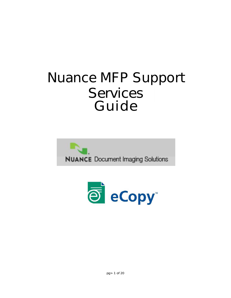# **Nuance MFP Support Services Guide**



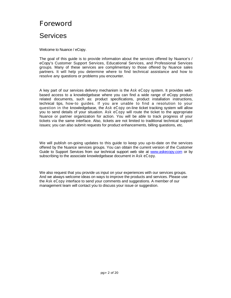### **Foreword**

### **Services**

Welcome to Nuance / eCopy.

The goal of this guide is to provide information about the services offered by Nuance's / eCopy's Customer Support Services, Educational Services, and Professional Services groups. Many of these services are complimentary to those offered by Nuance sales partners. It will help you determine where to find technical assistance and how to resolve any questions or problems you encounter.

A key part of our services delivery mechanism is the *Ask eCopy* system. It provides webbased access to a knowledgebase where you can find a wide range of eCopy product related documents, such as: product specifications, product installation instructions, technical tips, how-to guides. If you are unable to find a resolution to your question in the knowledgebase, the *Ask eCopy* on-line ticket tracking system will allow you to send details of your situation. *Ask eCopy* will route the ticket to the appropriate Nuance or partner organization for action. You will be able to track progress of your tickets via the same interface. Also, tickets are not limited to traditional technical support issues; you can also submit requests for product enhancements, billing questions, etc.

We will publish on-going updates to this guide to keep you up-to-date on the services offered by the Nuance services groups. You can obtain the current version of the Customer Guide to Support Services from our technical support web site at <www.askecopy.com> or by subscribing to the associate knowledgebase document in *Ask eCopy*.

We also request that you provide us input on your experiences with our services groups. And we always welcome ideas on ways to improve the products and services. Please use the *Ask eCopy* interface to send your comments and suggestions. A member of our management team will contact you to discuss your issue or suggestion.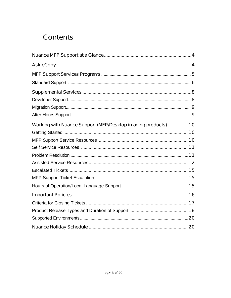## **Contents**

| Working with Nuance Support (MFP/Desktop imaging products) 10 |  |
|---------------------------------------------------------------|--|
|                                                               |  |
|                                                               |  |
|                                                               |  |
|                                                               |  |
|                                                               |  |
|                                                               |  |
|                                                               |  |
|                                                               |  |
|                                                               |  |
|                                                               |  |
|                                                               |  |
|                                                               |  |
|                                                               |  |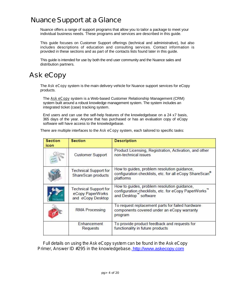### **Nuance Support at a Glance**

Nuance offers a range of support programs that allow you to tailor a package to meet your individual business needs. These programs and services are described in this guide.

This guide focuses on Customer Support offerings (technical and administrative), but also includes descriptions of education and consulting services. Contact information is provided in these sections and as part of the contacts lists found later in this guide.

This guide is intended for use by both the end user community and the Nuance sales and distribution partners.

### *Ask eCopy*

The *Ask eCopy* system is the main delivery vehicle for Nuance support services for eCopy products.

The *Ask eCopy* system is a Web-based Customer Relationship Management (CRM) system built around a robust knowledge management system. The system includes an integrated ticket (case) tracking system.

End users and can use the self-help features of the knowledgebase on a 24 x7 basis, 365 days of the year. Anyone that has purchased or has an evaluation copy of eCopy software will have access to the knowledgebase.

There are multiple interfaces to the *Ask eCopy* system, each tailored to specific tasks:

| <b>Section</b><br>icon | <b>Section</b>                                                        | <b>Description</b>                                                                                                              |  |
|------------------------|-----------------------------------------------------------------------|---------------------------------------------------------------------------------------------------------------------------------|--|
|                        | <b>Customer Support</b>                                               | Product Licensing, Registration, Activation, and other<br>non-technical issues                                                  |  |
|                        | <b>Technical Support for</b><br>ShareScan products                    | How to guides, problem resolution guidance,<br>configuration checklists, etc. for all eCopy ShareScan <sup>®</sup><br>platforms |  |
|                        | <b>Technical Support for</b><br>eCopy PaperWorks<br>and eCopy Desktop | How to guides, problem resolution guidance,<br>configuration checklists, etc. for eCopy PaperWorks"<br>and Desktop" software    |  |
|                        | <b>RMA Processing</b>                                                 | To request replacement parts for failed hardware<br>components covered under an eCopy warranty<br>program                       |  |
|                        | Enhancement<br><b>Requests</b>                                        | To provide product feedback and requests for<br>functionality in future products                                                |  |

*Full details on using the Ask eCopy system can be found in the Ask eCopy Primer, Answer ID #295 in the knowledgebase.* <http://www.askecopy.com>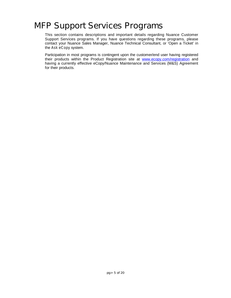# **MFP Support Services Programs**

This section contains descriptions and important details regarding Nuance Customer Support Services programs. If you have questions regarding these programs, please contact your Nuance Sales Manager, Nuance Technical Consultant, or 'Open a Ticket'in the *Ask eCopy* system.

Participation in most programs is contingent upon the customer/end user having registered their products within the Product Registration site at <www.ecopy.com/registration> and having a currently effective eCopy/Nuance Maintenance and Services (M&S) Agreement for their products.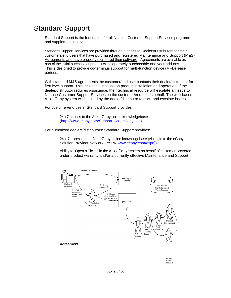### Standard Support

Standard Support is the foundation for all Nuance Customer Support Services programs and supplemental services.

Standard Support services are provided through authorized Dealers/Distributors for their customers/end users that have purchased and registered Maintenance and Support (M&S) Agreements and have properly registered their software. Agreements are available as part of the initial purchase of product with separately purchasable one year add-ons. This is designed to provide co-terminus support for multi-function device (MFD) lease periods.

With standard M&S agreements the customer/end user contacts their dealer/distributor for first level support. This includes questions on product installation and operation. If the dealer/distributor requires assistance, their technical resource will escalate an issue to Nuance Customer Support Services on the customer/end user's behalf. The web-based *Ask eCopy* system will be used by the dealer/distributor to track and escalate issues.

For customer/end users: Standard Support provides:

i. 24 x7 access to the *Ask eCopy* online knowledgebase [\(http://www.ecopy.com/Support\\_Ask\\_eCopy.asp\)](http://www.ecopy.com/Support_Ask_eCopy.asp)

For authorized dealers/distributors: Standard Support provides:

- i. 24 x 7 access to the *Ask eCopy* online knowledgebase (via login to the eCopy Solution Provider Network - eSPN [www.ecopy.com/espn\)](www.ecopy.com/espn))
- i. Ability to 'Open a Ticket'in the *Ask eCopy* system on behalf of customers covered under product warranty and/or a currently effective Maintenance and Support



eCopy Product Managers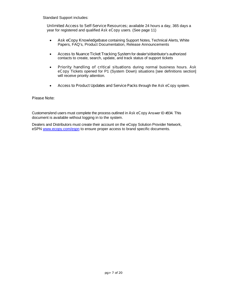Standard Support includes:

**Unlimited Access to Self-Service Resources;** available 24 hours a day, 365 days a year for registered and qualified *Ask eCopy* users. (See page 11)

- *i Ask eCopy* **Knowledgebase** containing Support Notes, Technical Alerts, White Papers, FAQ's, Product Documentation, Release Announcements
- **i Access to Nuance Ticket Tracking System** for dealer's/distributor's authorized contacts to create, search, update, and track status of support tickets
- **i Priority handling of critical situations** during normal business hours. *Ask eCopy* Tickets opened for P1 (System Down) situations [see definitions section] will receive priority attention.
- **i Access to Product Updates and Service Packs** through the *Ask eCopy* system.

#### **Please Note:**

Customers/end users must complete the process outlined in *Ask eCopy* **Answer ID #334**. This document is available without logging in to the system.

Dealers and Distributors must create their account on the eCopy Solution Provider Network, eSPN <www.ecopy.com/espn> to ensure proper access to brand specific documents.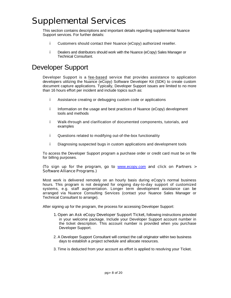# **Supplemental Services**

This section contains descriptions and important details regarding supplemental Nuance Support services. For further details:

- i. Customers should contact their Nuance (eCopy) authorized reseller.
- Dealers and distributors should work with the Nuance (eCopy) Sales Manager or i. Technical Consultant.

### Developer Support

Developer Support is a fee-based service that provides assistance to application developers utilizing the Nuance (eCopy) Software Developer Kit (SDK) to create custom document capture applications. Typically, Developer Support issues are limited to no more than 16 hours effort per incident and include topics such as:

- i. Assistance creating or debugging custom code or applications
- i. Information on the usage and best practices of Nuance (eCopy) development tools and methods
- i. Walk-through and clarification of documented components, tutorials, and examples
- i. Questions related to modifying out-of-the-box functionality
- i. Diagnosing suspected bugs in custom applications and development tools

To access the Developer Support program a purchase order or credit card must be on file for billing purposes.

#### **(To sign up for the program, go to** <www.ecopy.com> **and click on Partners > Software Alliance Programs.)**

Most work is delivered remotely on an hourly basis during eCopy's normal business hours. This program is not designed for ongoing day-to-day support of customized systems, e.g. staff augmentation. Longer term development assistance can be arranged via Nuance Consulting Services (contact your Nuance Sales Manager or Technical Consultant to arrange).

After signing up for the program, the process for accessing Developer Support:

- **1. Open an** *Ask eCopy* **Developer Support Ticket,** following instructions provided in your welcome package. Include your Developer Support account number in the ticket description. This account number is provided when you purchase Developer Support.
- 2. A Developer Support Consultant will contact the call originator within two business days to establish a project schedule and allocate resources.
- 3. Time is deducted from your account as effort is applied to resolving your Ticket.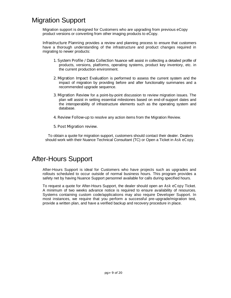### Migration Support

Migration support is designed for Customers who are upgrading from previous eCopy product versions or converting from other imaging products to eCopy.

**Infrastructure Planning** provides a review and planning process to ensure that customers have a thorough understanding of the infrastructure and product changes required in migrating to newer products:

- **1. System Profile / Data Collection** Nuance will assist in collecting a detailed profile of products, versions, platforms, operating systems, product key inventory, etc. in the current production environment.
- **2. Migration Impact Evaluation** is performed to assess the current system and the impact of migration by providing before and after functionality summaries and a recommended upgrade sequence.
- **3. Migration Review** for a point-by-point discussion to review migration issues. The plan will assist in setting essential milestones based on end-of-support dates and the interoperability of infrastructure elements such as the operating system and database.
- **4. Review Follow-up** to resolve any action items from the Migration Review.

#### **5. Post Migration review.**

To obtain a quote for migration support, customers should contact their dealer. Dealers should work with their Nuance Technical Consultant (TC) or Open a Ticket in *Ask eCopy*.

### After-Hours Support

After-Hours Support is ideal for Customers who have projects such as upgrades and rollouts scheduled to occur outside of normal business hours. This program provides a safety net by having Nuance Support personnel available for calls during specified hours.

To request a quote for After-Hours Support, the dealer should open an *Ask eCopy* Ticket. A minimum of two weeks advance notice is required to ensure availability of resources. Systems containing custom code/applications may also require Developer Support. In most instances, we require that you perform a successful pre-upgrade/migration test, provide a written plan, and have a verified backup and recovery procedure in place.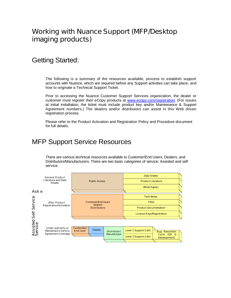### **Working with Nuance Support (MFP/Desktop imaging products)**

### Getting Started:

The following is a summary of the resources available, process to establish support accounts with Nuance, which are required before any Support activities can take place, and how to originate a Technical Support Ticket.

Prior to accessing the Nuance Customer Support Services organization, the dealer or customer must register their eCopy products at [www.ecopy.com/registration.](www.ecopy.com/registration) (For issues at initial installation, the ticket must include product key and/or Maintenance & Support Agreement numbers.) The dealers and/or distributors can assist in this Web driven registration process.

Please refer to the Product Activation and Registration Policy and Procedure document for full details.

### MFP Support Service Resources

There are various technical resources available to Customer/End Users, Dealers, and Distributors/Manufacturers. There are two basic categories of service: Assisted and self service.

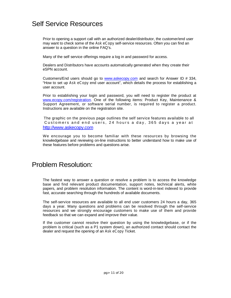### Self Service Resources

Prior to opening a support call with an authorized dealer/distributor, the customer/end user may want to check some of the *Ask eCopy* self-service resources. Often you can find an answer to a question in the online FAQ's.

Many of the self service offerings require a log in and password for access.

Dealers and Distributors have accounts automatically generated when they create their eSPN account.

Customers/End users should go to <www.askecopy.com> and search for Answer ID # 334, "How to set up *Ask eCopy* end user account", which details the process for establishing a user account.

Prior to establishing your login and password, you will need to register the product at [www.ecopy.com/registration.](www.ecopy.com/registration) One of the following items: Product Key, Maintenance & Support Agreement, or software serial number, is required to register a product. Instructions are available on the registration site.

The graphic on the previous page outlines the self service features available to all Customers and end users, 24 hours a day, 365 days a year at <http://www.askecopy.com>

We encourage you to become familiar with these resources by browsing the knowledgebase and reviewing on-line instructions to better understand how to make use of these features before problems and questions arise.

### Problem Resolution:

The fastest way to answer a question or resolve a problem is to access the knowledge base and find relevant product documentation, support notes, technical alerts, white papers, and problem resolution information. The content is word-in-text indexed to provide fast, accurate searching through the hundreds of available documents.

The self-service resources are available to all end user customers 24 hours a day, 365 days a year. Many questions and problems can be resolved through the self-service resources and we strongly encourage customers to make use of them and provide feedback so that we can expand and improve their value.

If the customer cannot resolve their question by using the knowledgebase, or if the problem is critical (such as a P1 system down), an authorized contact should contact the dealer and request the opening of an *Ask eCopy* Ticket.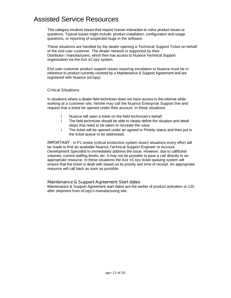### Assisted Service Resources

This category involves issues that require human interaction to solve product issues or questions. Typical issues might include: product installation, configuration and usage questions, or reporting of suspected bugs in the software.

These situations are handled by the dealer opening a Technical Support Ticket on behalf of the end user customer. The dealer network is supported by their Distributor / manufacturers, which then has access to Nuance Technical Support organization via the *Ask eCopy* system.

End user customer product support issues requiring escalation to Nuance must be in reference to product currently covered by a Maintenance & Support Agreement and are registered with Nuance (eCopy).

#### **Critical Situations**

In situations where a dealer field technician does not have access to the internet while working at a customer site, he/she may call the Nuance Enterprise Support line and request that a ticket be opened under their account. In these situations:

- Nuance will open a ticket on the field technician's behalf i.
- i. The field technician should be able to clearly define the situation and detail steps that need to be taken to recreate the issue
- i. The ticket will be opened under an agreed to Priority status and then put in the ticket queue to be addressed.

**IMPORTANT** - in P1 onsite (critical production system down) situations every effort will be made to find an available Nuance Technical Support Engineer or Account Development Specialist to immediately address the issue. However, due to call/ticket volumes, current staffing levels, etc. it may not be possible to pass a call directly to an appropriate resource. In these situations the *Ask eCopy* ticket queuing system will ensure that the ticket is dealt with based on its priority and time of receipt. An appropriate resource will call back as soon as possible.

#### **Maintenance & Support Agreement Start dates**

Maintenance & Support Agreement start dates are the earlier of product activation or 120 after shipment from eCopy's manufacturing site.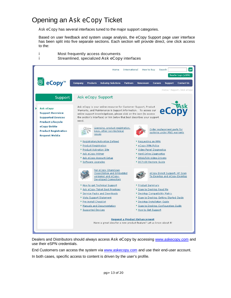### Opening an *Ask eCopy* Ticket

Ť

*Ask eCopy* has several interfaces tuned to the major support categories.

Most frequently access documents

Based on user feedback and system usage analysis, the eCopy Support page user interface has been split into five separate sections. Each section will provide direct, one click access to the:



Dealers and Distributors should always access *Ask eCopy* by accessing <www.askecopy.com> and use their eSPN credentials.

End Customers can access the system via <www.askecopy.com> and use their end-user account.

In both cases, specific access to content is driven by the user's profile.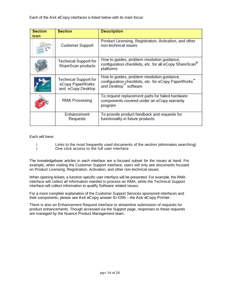Each of the *Ask eCopy* interfaces is listed below with its main focus:

| <b>Section</b><br>icon | <b>Section</b><br><b>Description</b>                                  |                                                                                                                                 |  |
|------------------------|-----------------------------------------------------------------------|---------------------------------------------------------------------------------------------------------------------------------|--|
|                        | <b>Customer Support</b>                                               | Product Licensing, Registration, Activation, and other<br>non-technical issues                                                  |  |
|                        | <b>Technical Support for</b><br>ShareScan products                    | How to guides, problem resolution guidance,<br>configuration checklists, etc. for all eCopy ShareScan <sup>®</sup><br>platforms |  |
|                        | <b>Technical Support for</b><br>eCopy PaperWorks<br>and eCopy Desktop | How to guides, problem resolution guidance,<br>configuration checklists, etc. for eCopy PaperWorks"<br>and Desktop" software    |  |
|                        | <b>RMA Processing</b>                                                 | To request replacement parts for failed hardware<br>components covered under an eCopy warranty<br>program                       |  |
|                        | Enhancement<br><b>Requests</b>                                        | To provide product feedback and requests for<br>functionality in future products                                                |  |

Each will have:

- İ i.
	- Links to the most frequently used documents of the section (eliminates searching) One click access to the full user interface

The knowledgebase articles in each interface are a focused subset for the issues at hand. For example, when visiting the Customer Support interface, users will only see documents focused on Product Licensing, Registration, Activation, and other non-technical issues.

When opening tickets, a function specific user interface will be presented. For example, the RMA interface will collect all information needed to process an RMA, while the Technical Support interface will collect information to qualify Software related issues.

For a more complete explanation of the Customer Support Services sponsored interfaces and their components, please see *Ask eCopy* answer ID #295 –the *Ask eCopy Primer.*

There is also an Enhancement Request interface to streamline submission of requests for product enhancements. Though accessed via the Support page, responses to these requests are managed by the Nuance Product Management team.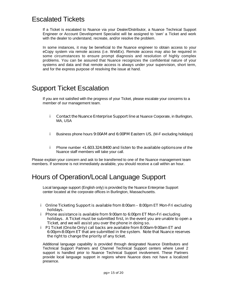### Escalated Tickets

If a Ticket is escalated to Nuance via your Dealer/Distributor, a Nuance Technical Support Engineer or Account Development Specialist will be assigned to 'own'a Ticket and work with the dealer to understand, recreate, and/or resolve the problem.

In some instances, it may be beneficial to the Nuance engineer to obtain access to your eCopy system via remote access (i.e. WebEx). Remote access may also be required in some circumstances to ensure prompt diagnosis and resolution of highly complex problems. You can be assured that Nuance recognizes the confidential nature of your systems and data and that remote access is always under your supervision, short term, and for the express purpose of resolving the issue at hand.

### Support Ticket Escalation

If you are not satisfied with the progress of your Ticket, please escalate your concerns to a member of our management team.

- **Contact the Nuance Enterprise Support line** at Nuance Corporate, in Burlington, i. MA, USA
- i. Business phone hours **9:00AM and 6:00PM Eastern US**, (M-F excluding holidays)
- Phone number **+1.603.324.8400 and listen to the available options**one of the i. Nuance staff members will take your call.

Please explain your concern and ask to be transferred to one of the Nuance management team members. If someone is not immediately available, you should receive a call within an hour.

### Hours of Operation/Local Language Support

Local language support (English only) is provided by the Nuance Enterprise Support center located at the corporate offices in Burlington, Massachusetts.

- **Online Ticketing Support is available from 8:00am –8:00pm ET Mon-Fri excluding holidays.**
- **Phone assistance is available from 9:00am to 6:00pm ET Mon-Fri excluding holidays. A Ticket must be submitted first, in the event you are unable to open a Ticket, and we will assist you over the phone in doing so.**
- **P1 Ticket (Onsite Only) call backs are available from 8:00am-9:00am ET and 6:00pm-8:00pm ET that are submitted in the system. Note that Nuance reserves the right to change the priority of any ticket.**

Additional language capability is provided through designated Nuance Distributors and Technical Support Partners and Channel Technical Support centers where Level 2 support is handled prior to Nuance Technical Support involvement. These Partners provide local language support in regions where Nuance does not have a localized presence.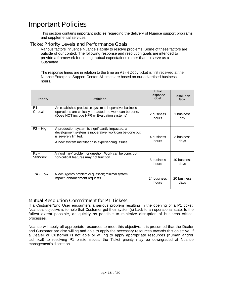### **Important Policies**

This section contains important policies regarding the delivery of Nuance support programs and supplemental services.

#### **Ticket Priority Levels and Performance Goals**

Various factors influence Nuance's ability to resolve problems. Some of these factors are outside of our control. The following response and resolution goals are intended to provide a framework for setting mutual expectations rather than to serve as a Guarantee.

The response times are in relation to the time an *Ask eCopy* ticket is first received at the Nuance Enterprise Support Center. All times are based on our advertised business hours.

| <b>Priority</b>           | <b>Definition</b>                                                                                                                                                                       | <b>Initial</b><br><b>Response</b><br>Goal | <b>Resolution</b><br>Goal |
|---------------------------|-----------------------------------------------------------------------------------------------------------------------------------------------------------------------------------------|-------------------------------------------|---------------------------|
| $P1 -$<br><b>Critical</b> | An established production system is inoperative; business<br>operations are critically impacted; no work can be done.<br>(Does NOT include NFR or Evaluation systems)                   | 2 business<br>hours                       | 1 business<br>day         |
| $P2 - High$               | A production system is significantly impacted; a<br>development system is inoperative; work can be done but<br>is severely limited.<br>A new system installation is experiencing issues | 4 business<br>hours                       | 3 business<br>days        |
| $P3 -$<br><b>Standard</b> | An 'ordinary' problem or question. Work can be done, but<br>non-critical features may not function.                                                                                     | 8 business<br>hours                       | 10 business<br>days       |
| $P4 - Low$                | A low-urgency problem or question; minimal system<br>impact; enhancement requests                                                                                                       | 24 business<br>hours                      | 20 business<br>days       |

#### **Mutual Resolution Commitment for P1 Tickets**

If a Customer/End User encounters a serious problem resulting in the opening of a P1 ticket, Nuance's objective is to help that Customer get their system(s) back to an operational state, to the fullest extent possible, as quickly as possible to minimize disruption of business critical processes.

Nuance will apply all appropriate resources to meet this objective. It is presumed that the Dealer and Customer are also willing and able to apply the necessary resources towards this objective. If a Dealer or Customer is not able or willing to apply appropriate resources (human and/or technical) to resolving P1 onsite issues, the Ticket priority may be downgraded at Nuance management's discretion.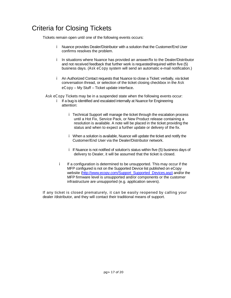### Criteria for Closing Tickets

Tickets remain open until one of the following events occurs:

- Nuance provides Dealer/Distributor with a solution that the Customer/End User confirms resolves the problem.
- i In situations where Nuance has provided an answer/fix to the Dealer/Distributor and not received feedback that further work is requested/required within five (5) business days. (*Ask eCopy* system will send an automatic e-mail notification.)
- An Authorized Contact requests that Nuance to close a Ticket: verbally, via ticket conversation thread, or selection of the ticket closing checkbox in the *Ask eCopy* – My Stuff – Ticket update interface.

*Ask eCopy* Tickets may be in a suspended state when the following events occur:

- i If a bug is identified and escalated internally at Nuance for Engineering attention:
	- Technical Support will manage the ticket through the escalation process until a Hot Fix, Service Pack, or New Product release containing a resolution is available. A note will be placed in the ticket providing the status and when to expect a further update or delivery of the fix.
	- When a solution is available, Nuance will update the ticket and notify the Customer/End User via the Dealer/Distributor network.
	- i If Nuance is not notified of solution's status within five (5) business days of delivery to Dealer, it will be assumed that the ticket is closed.
	- i. If a configuration is determined to be unsupported. This may occur if the MFP configured is not on the Supported Device list published on eCopy website [\(http://www.ecopy.com/Support\\_Supported\\_Devices.asp](http://www.ecopy.com/Support_Supported_Devices.asp)) and/or the MFP firmware level is unsupported and/or components or the customer infrastructure are unsupported (e.g. application severs).

If any ticket is closed prematurely, it can be easily reopened by calling your dealer /distributor, and they will contact their traditional means of support.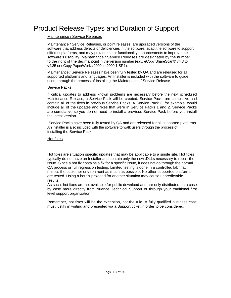### Product Release Types and Duration of Support

#### Maintenance / Service Releases

Maintenance / Service Releases, or point releases, are upgraded versions of the software that address defects or deficiencies in the software, adapt the software to support different platforms, and may provide minor functionality enhancements to improve the software's usability. Maintenance / Service Releases are designated by the number to the right of the decimal point in the version number (e.g., eCopy ShareScan® v4.3 to v4.35 or eCopy PaperWorks 2009 to 2009.1 SR1).

Maintenance / Service Releases have been fully tested by QA and are released for all supported platforms and languages. An Installer is included with the software to guide users through the process of installing the Maintenance / Service Release.

#### Service Packs

If critical updates to address known problems are necessary before the next scheduled Maintenance Release, a Service Pack will be created. Service Packs are cumulative and contain all of the fixes in previous Service Packs. A Service Pack 3, for example, would include all of the updates and fixes that were in Service Packs 1 and 2. Service Packs are cumulative so you do not need to install a previous Service Pack before you install the latest version.

Service Packs have been fully tested by QA and are released for all supported platforms. An installer is also included with the software to walk users through the process of installing the Service Pack.

#### Hot fixes

Hot fixes are situation specific updates that may be applicable to a single site. Hot fixes typically do not have an Installer and contain only the new .DLLs necessary to repair the issue. Since a hot fix contains a fix for a specific issue, it does not go through the normal QA process or full regression testing. Limited testing is done in a controlled lab that mimics the customer environment as much as possible. No other supported platforms are tested. Using a hot fix provided for another situation may cause unpredictable results.

As such, hot fixes are not available for public download and are only distributed on a case by case basis directly from Nuance Technical Support or through your traditional first level support organization.

Remember, hot fixes will be the exception, not the rule. A fully qualified business case must justify in writing and presented via a Support ticket in order to be considered.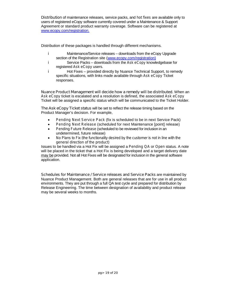**Distribution** of maintenance releases, service packs, and *hot fixes* are available only to users of registered eCopy software currently covered under a Maintenance & Support Agreement or standard product warranty coverage. Software can be registered at <www.ecopy.com/registration>.

Distribution of these packages is handled through different mechanisms.

- i. Maintenance/Service releases – downloads from the eCopy Upgrade section of the Registration site [\(www.ecopy.com/registration](www.ecopy.com/registration))
- i. Service Packs – downloads from the Ask *eCopy* knowledgebase for registered *Ask eCopy* users.
- i. Hot Fixes – provided directly by Nuance Technical Support, to remedy specific situations, with links made available through *Ask eCopy* Ticket responses.

**Nuance Product Management will decide how a remedy will be distributed**. When an *Ask eCopy* ticket is escalated and a resolution is defined, the associated *Ask eCopy* Ticket will be assigned a specific status which will be communicated to the Ticket Holder.

**The** *Ask eCopy* **Ticket status** will be set to reflect the release timing based on the Product Manager's decision. For example,

- *i Pending Next Service Pack* (fix is scheduled to be in next Service Pack)
- *Pending* Next *Release* (scheduled for next Maintenance [point] release)
- *i Pending Future Release* (scheduled to be reviewed for inclusion in an undetermined, future release)
- *i No Plans to Fix (the functionality desired by the customer is not in line with the general direction of the product)*

Issues to be handled via a Hot Fix will be assigned a *Pending QA* or *Open* status. A note will be placed in the ticket that a Hot Fix is being developed and a target delivery date may be provided. Not all Hot Fixes will be designated for inclusion in the general software application.

**Schedules for Maintenance / Service releases and Service Packs** are maintained by Nuance Product Management. Both are general releases that are for use in all product environments. They are put through a full QA test cycle and prepared for distribution by Release Engineering. The time between designation of availability and product release may be several weeks to months.